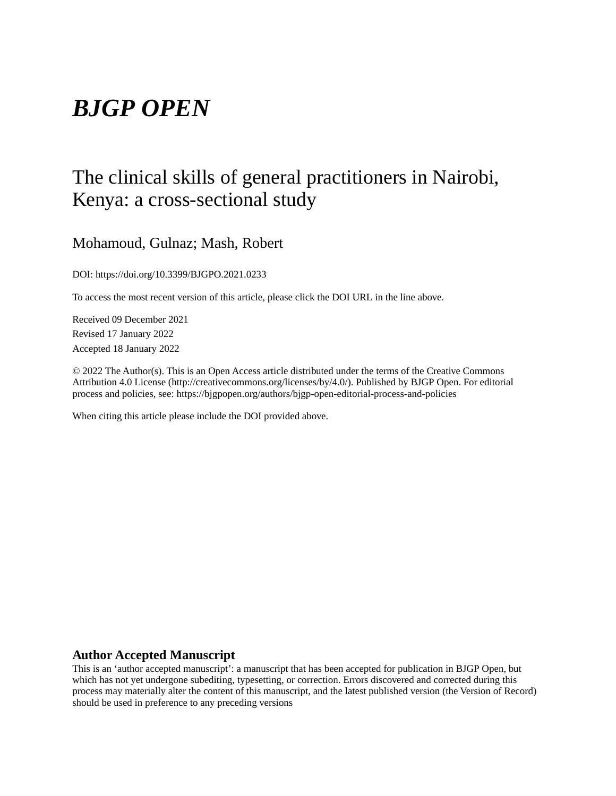# *BJGP OPEN*

## The clinical skills of general practitioners in Nairobi, Kenya: a cross-sectional study

## Mohamoud, Gulnaz; Mash, Robert

DOI: https://doi.org/10.3399/BJGPO.2021.0233

To access the most recent version of this article, please click the DOI URL in the line above.

Received 09 December 2021 Revised 17 January 2022 Accepted 18 January 2022

© 2022 The Author(s). This is an Open Access article distributed under the terms of the Creative Commons Attribution 4.0 License (http://creativecommons.org/licenses/by/4.0/). Published by BJGP Open. For editorial process and policies, see: https://bjgpopen.org/authors/bjgp-open-editorial-process-and-policies

When citing this article please include the DOI provided above.

#### **Author Accepted Manuscript**

This is an 'author accepted manuscript': a manuscript that has been accepted for publication in BJGP Open, but which has not yet undergone subediting, typesetting, or correction. Errors discovered and corrected during this process may materially alter the content of this manuscript, and the latest published version (the Version of Record) should be used in preference to any preceding versions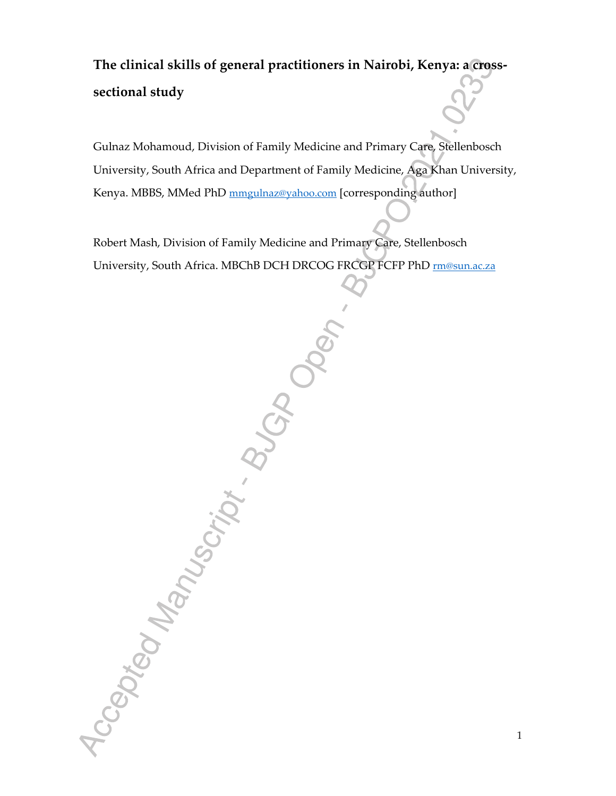## **The clinical skills of general practitioners in Nairobi, Kenya: a crosssectional study**

Gulnaz Mohamoud, Division of Family Medicine and Primary Care, Stellenbosch University, South Africa and Department of Family Medicine, Aga Khan University, Kenya. MBBS, MMed PhD mmgulnaz@yahoo.com [corresponding author]

Robert Mash, Division of Family Medicine and Primary Care, Stellenbosch<br>
University, South Africa, MBCbB DCH DRCOC FRECE PTCFP PhD ESSAM<br>
University, South Africa, MBCbB DCH DRCOC FRECE PTCFP PhD ESSAM<br>
CONTROL CONTROL CON University, South Africa. MBChB DCH DRCOG FRCGP FCFP PhD rm@sun.ac.za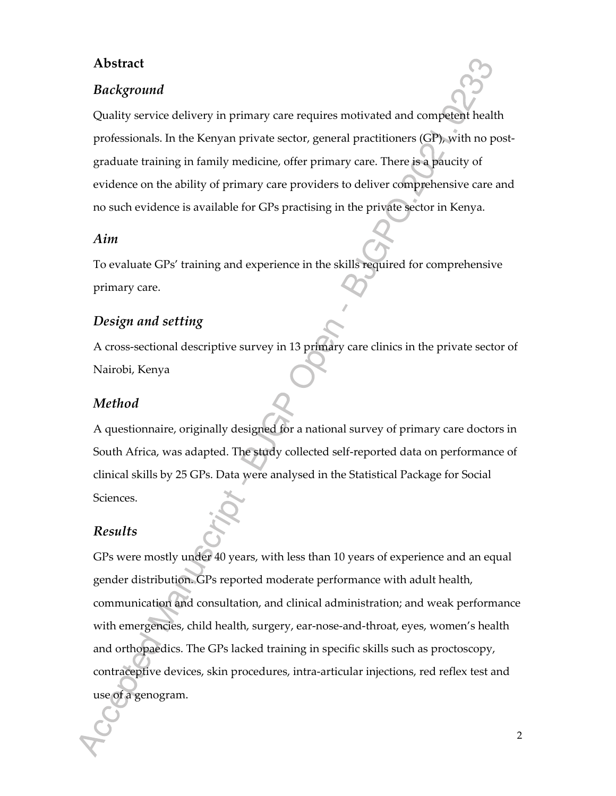## **Abstract**

## *Background*

Quality service delivery in primary care requires motivated and competent health professionals. In the Kenyan private sector, general practitioners (GP), with no postgraduate training in family medicine, offer primary care. There is a paucity of evidence on the ability of primary care providers to deliver comprehensive care and no such evidence is available for GPs practising in the private sector in Kenya.

#### *Aim*

To evaluate GPs' training and experience in the skills required for comprehensive primary care.

#### *Design and setting*

A cross-sectional descriptive survey in 13 primary care clinics in the private sector of Nairobi, Kenya

## *Method*

A questionnaire, originally designed for a national survey of primary care doctors in South Africa, was adapted. The study collected self-reported data on performance of clinical skills by 25 GPs. Data were analysed in the Statistical Package for Social Sciences.

#### *Results*

GPs were mostly under 40 years, with less than 10 years of experience and an equal gender distribution. GPs reported moderate performance with adult health, communication and consultation, and clinical administration; and weak performance with emergencies, child health, surgery, ear-nose-and-throat, eyes, women's health and orthopaedics. The GPs lacked training in specific skills such as proctoscopy, contraceptive devices, skin procedures, intra-articular injections, red reflex test and use of a genogram.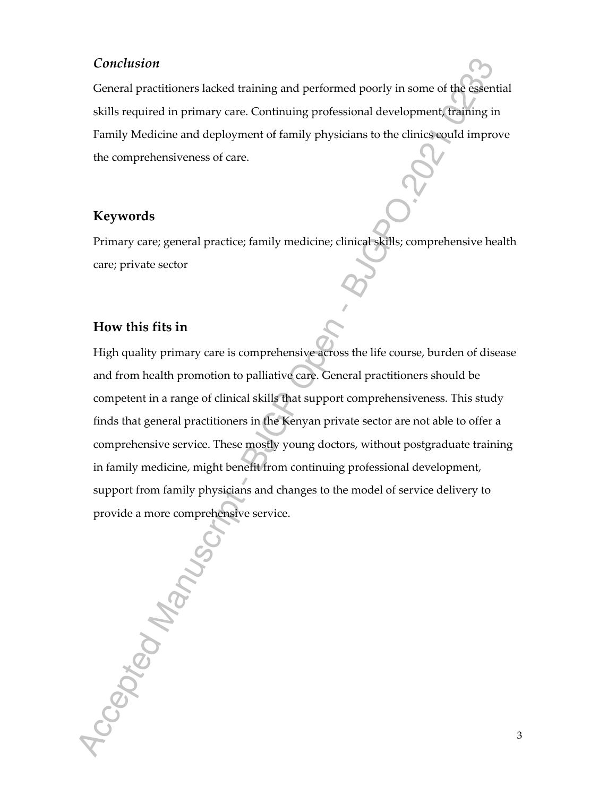## *Conclusion*

General practitioners lacked training and performed poorly in some of the essential skills required in primary care. Continuing professional development, training in Family Medicine and deployment of family physicians to the clinics could improve the comprehensiveness of care.

#### **Keywords**

Primary care; general practice; family medicine; clinical skills; comprehensive health care; private sector

## **How this fits in**

High quality primary care is comprehensive across the life course, burden of disease and from health promotion to palliative care. General practitioners should be competent in a range of clinical skills that support comprehensiveness. This study finds that general practitioners in the Kenyan private sector are not able to offer a comprehensive service. These mostly young doctors, without postgraduate training in family medicine, might benefit from continuing professional development, support from family physicians and changes to the model of service delivery to provide a more comprehensive service.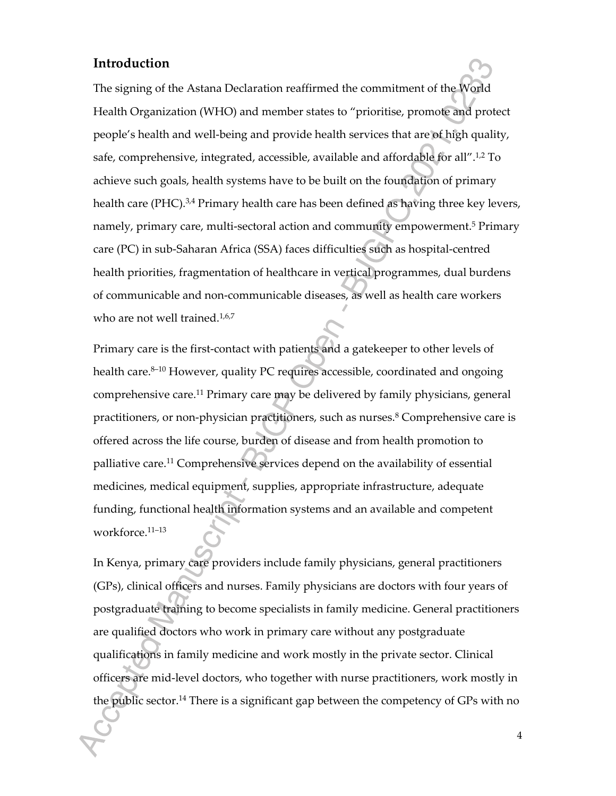## **Introduction**

The signing of the Astana Declaration reaffirmed the commitment of the World Health Organization (WHO) and member states to "prioritise, promote and protect people's health and well-being and provide health services that are of high quality, safe, comprehensive, integrated, accessible, available and affordable for all".1,2 To achieve such goals, health systems have to be built on the foundation of primary health care (PHC).<sup>3,4</sup> Primary health care has been defined as having three key levers, namely, primary care, multi-sectoral action and community empowerment.<sup>5</sup> Primary care (PC) in sub-Saharan Africa (SSA) faces difficulties such as hospital-centred health priorities, fragmentation of healthcare in vertical programmes, dual burdens of communicable and non-communicable diseases, as well as health care workers who are not well trained.<sup>1,6,7</sup>

Primary care is the first-contact with patients and a gatekeeper to other levels of health care.<sup>8-10</sup> However, quality PC requires accessible, coordinated and ongoing comprehensive care.<sup>11</sup> Primary care may be delivered by family physicians, general practitioners, or non-physician practitioners, such as nurses.<sup>8</sup> Comprehensive care is offered across the life course, burden of disease and from health promotion to palliative care.<sup>11</sup> Comprehensive services depend on the availability of essential medicines, medical equipment, supplies, appropriate infrastructure, adequate funding, functional health information systems and an available and competent workforce.11–13

In Kenya, primary care providers include family physicians, general practitioners (GPs), clinical officers and nurses. Family physicians are doctors with four years of postgraduate training to become specialists in family medicine. General practitioners are qualified doctors who work in primary care without any postgraduate qualifications in family medicine and work mostly in the private sector. Clinical officers are mid-level doctors, who together with nurse practitioners, work mostly in the public sector.<sup>14</sup> There is a significant gap between the competency of GPs with no

4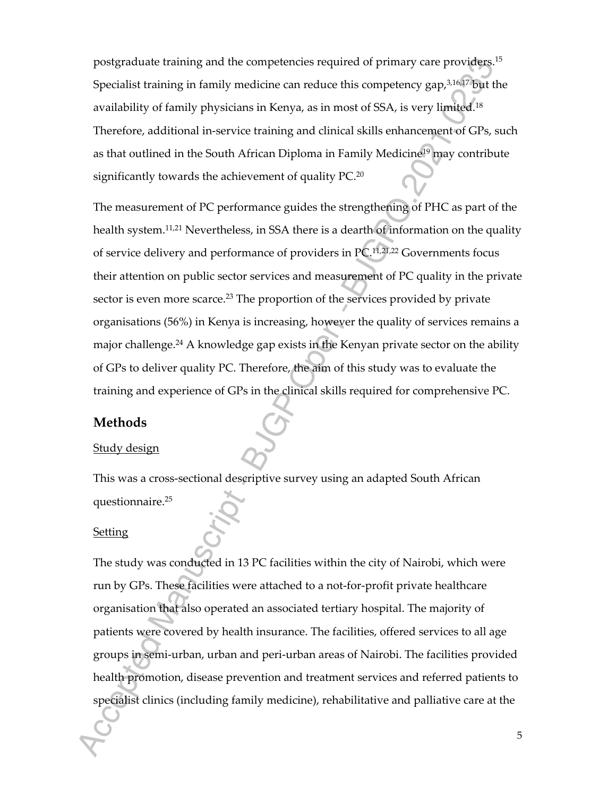postgraduate training and the competencies required of primary care providers.<sup>15</sup> Specialist training in family medicine can reduce this competency gap, $3,16,17$  but the availability of family physicians in Kenya, as in most of SSA, is very limited.<sup>18</sup> Therefore, additional in-service training and clinical skills enhancement of GPs, such as that outlined in the South African Diploma in Family Medicine<sup>19</sup> may contribute significantly towards the achievement of quality PC.<sup>20</sup>

The measurement of PC performance guides the strengthening of PHC as part of the health system.<sup>11,21</sup> Nevertheless, in SSA there is a dearth of information on the quality of service delivery and performance of providers in PC.11,21,22 Governments focus their attention on public sector services and measurement of PC quality in the private sector is even more scarce.<sup>23</sup> The proportion of the services provided by private organisations (56%) in Kenya is increasing, however the quality of services remains a major challenge.<sup>24</sup> A knowledge gap exists in the Kenyan private sector on the ability of GPs to deliver quality PC. Therefore, the aim of this study was to evaluate the training and experience of GPs in the clinical skills required for comprehensive PC.

### **Methods**

#### Study design

This was a cross-sectional descriptive survey using an adapted South African questionnaire.<sup>25</sup>

#### Setting

The study was conducted in 13 PC facilities within the city of Nairobi, which were run by GPs. These facilities were attached to a not-for-profit private healthcare organisation that also operated an associated tertiary hospital. The majority of patients were covered by health insurance. The facilities, offered services to all age groups in semi-urban, urban and peri-urban areas of Nairobi. The facilities provided health promotion, disease prevention and treatment services and referred patients to specialist clinics (including family medicine), rehabilitative and palliative care at the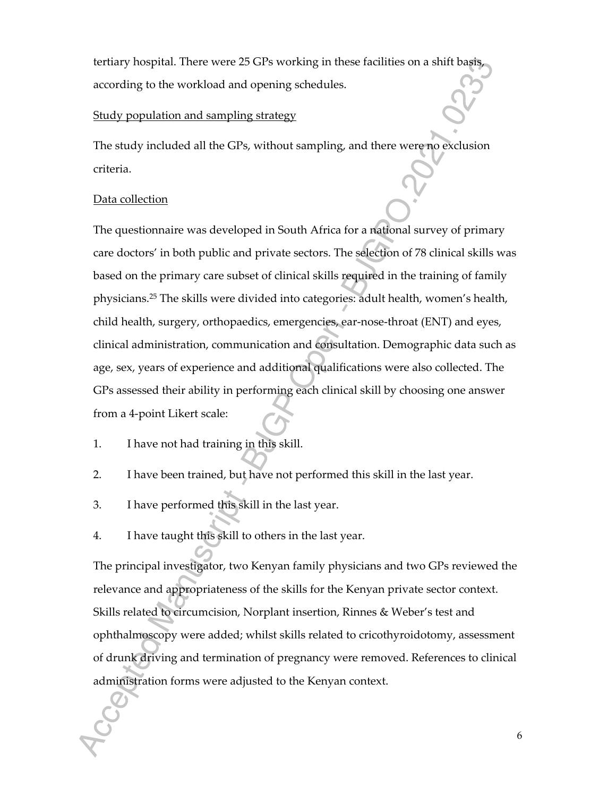tertiary hospital. There were 25 GPs working in these facilities on a shift basis, according to the workload and opening schedules.

#### Study population and sampling strategy

The study included all the GPs, without sampling, and there were no exclusion criteria.

#### Data collection

The questionnaire was developed in South Africa for a national survey of primary care doctors' in both public and private sectors. The selection of 78 clinical skills was based on the primary care subset of clinical skills required in the training of family physicians.<sup>25</sup> The skills were divided into categories: adult health, women's health, child health, surgery, orthopaedics, emergencies, ear-nose-throat (ENT) and eyes, clinical administration, communication and consultation. Demographic data such as age, sex, years of experience and additional qualifications were also collected. The GPs assessed their ability in performing each clinical skill by choosing one answer from a 4-point Likert scale:

- 1. I have not had training in this skill.
- 2. I have been trained, but have not performed this skill in the last year.
- 3. I have performed this skill in the last year.
- 4. I have taught this skill to others in the last year.

The principal investigator, two Kenyan family physicians and two GPs reviewed the relevance and appropriateness of the skills for the Kenyan private sector context. Skills related to circumcision, Norplant insertion, Rinnes & Weber's test and ophthalmoscopy were added; whilst skills related to cricothyroidotomy, assessment of drunk driving and termination of pregnancy were removed. References to clinical administration forms were adjusted to the Kenyan context.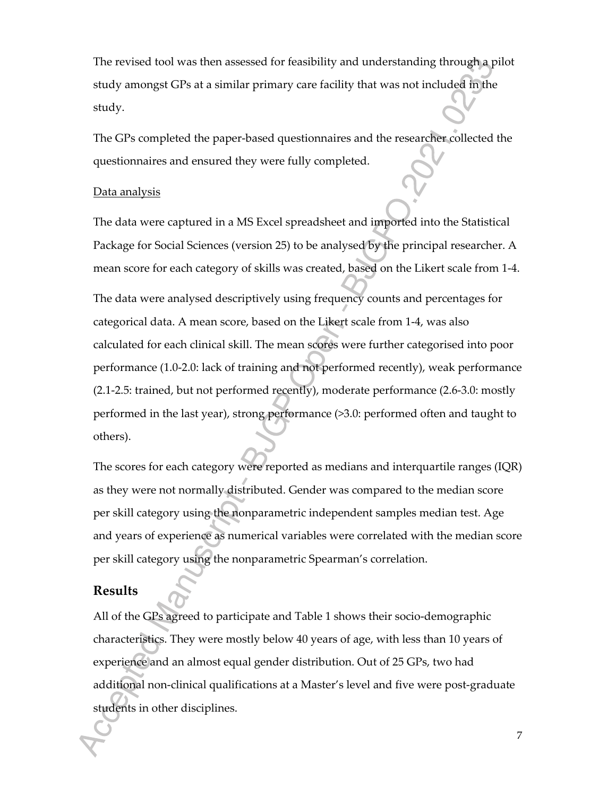The revised tool was then assessed for feasibility and understanding through a pilot study amongst GPs at a similar primary care facility that was not included in the study.

The GPs completed the paper-based questionnaires and the researcher collected the questionnaires and ensured they were fully completed.

#### Data analysis

The data were captured in a MS Excel spreadsheet and imported into the Statistical Package for Social Sciences (version 25) to be analysed by the principal researcher. A mean score for each category of skills was created, based on the Likert scale from 1-4.

The data were analysed descriptively using frequency counts and percentages for categorical data. A mean score, based on the Likert scale from 1-4, was also calculated for each clinical skill. The mean scores were further categorised into poor performance (1.0-2.0: lack of training and not performed recently), weak performance (2.1-2.5: trained, but not performed recently), moderate performance (2.6-3.0: mostly performed in the last year), strong performance (>3.0: performed often and taught to others).

The scores for each category were reported as medians and interquartile ranges (IQR) as they were not normally distributed. Gender was compared to the median score per skill category using the nonparametric independent samples median test. Age and years of experience as numerical variables were correlated with the median score per skill category using the nonparametric Spearman's correlation.

#### **Results**

All of the GPs agreed to participate and Table 1 shows their socio-demographic characteristics. They were mostly below 40 years of age, with less than 10 years of experience and an almost equal gender distribution. Out of 25 GPs, two had additional non-clinical qualifications at a Master's level and five were post-graduate students in other disciplines.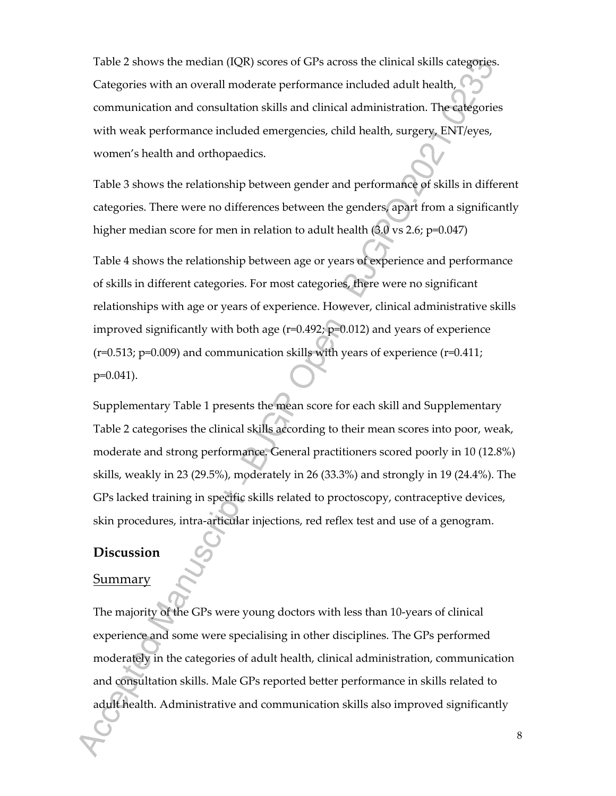Table 2 shows the median (IQR) scores of GPs across the clinical skills categories. Categories with an overall moderate performance included adult health, communication and consultation skills and clinical administration. The categories with weak performance included emergencies, child health, surgery, ENT/eyes, women's health and orthopaedics.

Table 3 shows the relationship between gender and performance of skills in different categories. There were no differences between the genders, apart from a significantly higher median score for men in relation to adult health (3.0 vs 2.6; p=0.047)

Table 4 shows the relationship between age or years of experience and performance of skills in different categories. For most categories, there were no significant relationships with age or years of experience. However, clinical administrative skills improved significantly with both age (r=0.492; p=0.012) and years of experience  $(r=0.513; p=0.009)$  and communication skills with years of experience  $(r=0.411; p=0.613)$ p=0.041).

Supplementary Table 1 presents the mean score for each skill and Supplementary Table 2 categorises the clinical skills according to their mean scores into poor, weak, moderate and strong performance. General practitioners scored poorly in 10 (12.8%) skills, weakly in 23 (29.5%), moderately in 26 (33.3%) and strongly in 19 (24.4%). The GPs lacked training in specific skills related to proctoscopy, contraceptive devices, skin procedures, intra-articular injections, red reflex test and use of a genogram.

#### **Discussion**

#### Summary

The majority of the GPs were young doctors with less than 10-years of clinical experience and some were specialising in other disciplines. The GPs performed moderately in the categories of adult health, clinical administration, communication and consultation skills. Male GPs reported better performance in skills related to adult health. Administrative and communication skills also improved significantly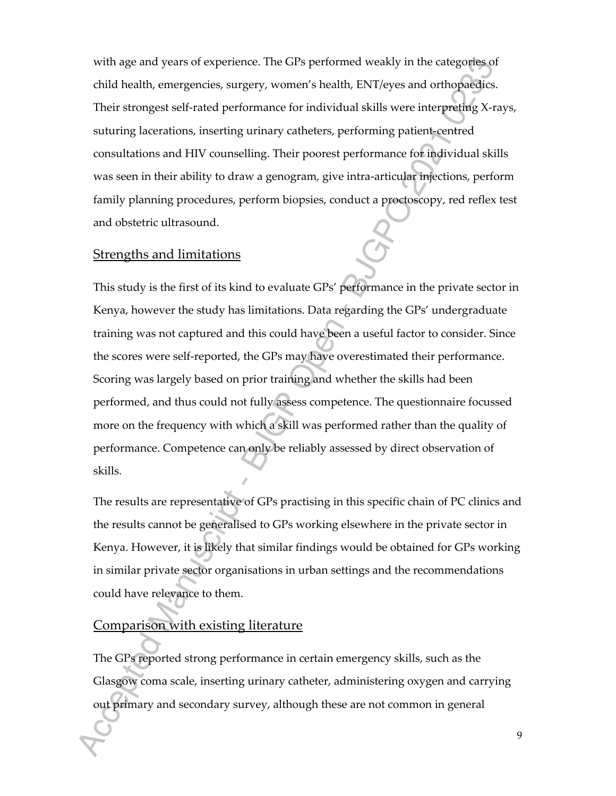with age and years of experience. The GPs performed weakly in the categories of child health, emergencies, surgery, women's health, ENT/eyes and orthopaedics. Their strongest self-rated performance for individual skills were interpreting X-rays, suturing lacerations, inserting urinary catheters, performing patient-centred consultations and HIV counselling. Their poorest performance for individual skills was seen in their ability to draw a genogram, give intra-articular injections, perform family planning procedures, perform biopsies, conduct a proctoscopy, red reflex test and obstetric ultrasound.

#### Strengths and limitations

This study is the first of its kind to evaluate GPs' performance in the private sector in Kenya, however the study has limitations. Data regarding the GPs' undergraduate training was not captured and this could have been a useful factor to consider. Since the scores were self-reported, the GPs may have overestimated their performance. Scoring was largely based on prior training and whether the skills had been performed, and thus could not fully assess competence. The questionnaire focussed more on the frequency with which a skill was performed rather than the quality of performance. Competence can only be reliably assessed by direct observation of skills.

The results are representative of GPs practising in this specific chain of PC clinics and the results cannot be generalised to GPs working elsewhere in the private sector in Kenya. However, it is likely that similar findings would be obtained for GPs working in similar private sector organisations in urban settings and the recommendations could have relevance to them.

#### Comparison with existing literature

The GPs reported strong performance in certain emergency skills, such as the Glasgow coma scale, inserting urinary catheter, administering oxygen and carrying out primary and secondary survey, although these are not common in general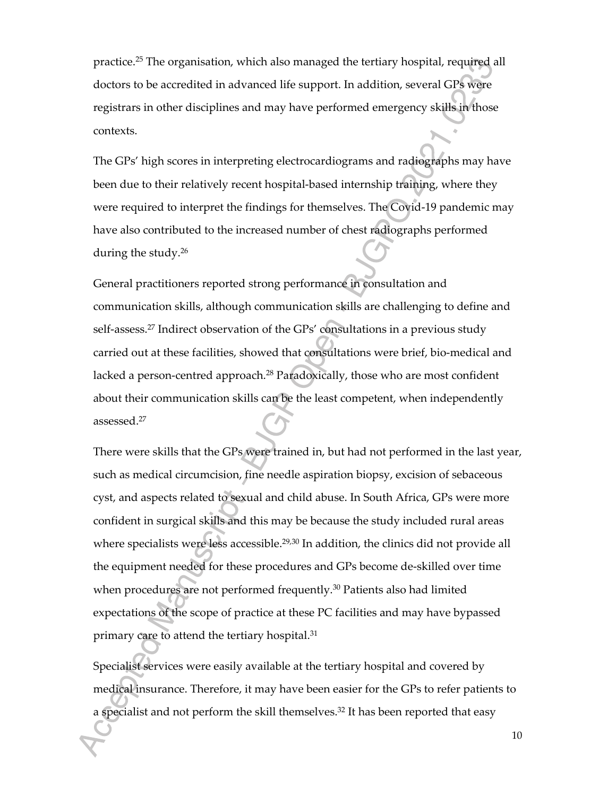practice.<sup>25</sup> The organisation, which also managed the tertiary hospital, required all doctors to be accredited in advanced life support. In addition, several GPs were registrars in other disciplines and may have performed emergency skills in those contexts.

The GPs' high scores in interpreting electrocardiograms and radiographs may have been due to their relatively recent hospital-based internship training, where they were required to interpret the findings for themselves. The Covid-19 pandemic may have also contributed to the increased number of chest radiographs performed during the study.<sup>26</sup>

General practitioners reported strong performance in consultation and communication skills, although communication skills are challenging to define and self-assess.<sup>27</sup> Indirect observation of the GPs' consultations in a previous study carried out at these facilities, showed that consultations were brief, bio-medical and lacked a person-centred approach.<sup>28</sup> Paradoxically, those who are most confident about their communication skills can be the least competent, when independently assessed.<sup>27</sup>

There were skills that the GPs were trained in, but had not performed in the last year, such as medical circumcision, fine needle aspiration biopsy, excision of sebaceous cyst, and aspects related to sexual and child abuse. In South Africa, GPs were more confident in surgical skills and this may be because the study included rural areas where specialists were less accessible.<sup>29,30</sup> In addition, the clinics did not provide all the equipment needed for these procedures and GPs become de-skilled over time when procedures are not performed frequently.<sup>30</sup> Patients also had limited expectations of the scope of practice at these PC facilities and may have bypassed primary care to attend the tertiary hospital.<sup>31</sup>

Specialist services were easily available at the tertiary hospital and covered by medical insurance. Therefore, it may have been easier for the GPs to refer patients to a specialist and not perform the skill themselves.<sup>32</sup> It has been reported that easy

10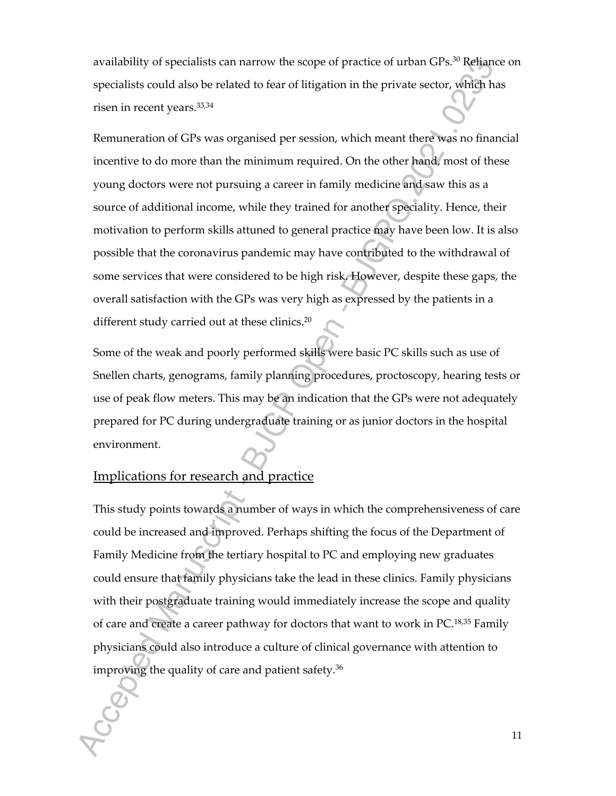availability of specialists can narrow the scope of practice of urban GPs.<sup>30</sup> Reliance on specialists could also be related to fear of litigation in the private sector, which has risen in recent years.33,34

Remuneration of GPs was organised per session, which meant there was no financial incentive to do more than the minimum required. On the other hand, most of these young doctors were not pursuing a career in family medicine and saw this as a source of additional income, while they trained for another speciality. Hence, their motivation to perform skills attuned to general practice may have been low. It is also possible that the coronavirus pandemic may have contributed to the withdrawal of some services that were considered to be high risk. However, despite these gaps, the overall satisfaction with the GPs was very high as expressed by the patients in a different study carried out at these clinics.<sup>20</sup>

Some of the weak and poorly performed skills were basic PC skills such as use of Snellen charts, genograms, family planning procedures, proctoscopy, hearing tests or use of peak flow meters. This may be an indication that the GPs were not adequately prepared for PC during undergraduate training or as junior doctors in the hospital environment.

#### Implications for research and practice

This study points towards a number of ways in which the comprehensiveness of care could be increased and improved. Perhaps shifting the focus of the Department of Family Medicine from the tertiary hospital to PC and employing new graduates could ensure that family physicians take the lead in these clinics. Family physicians with their postgraduate training would immediately increase the scope and quality of care and create a career pathway for doctors that want to work in PC.18,35 Family physicians could also introduce a culture of clinical governance with attention to improving the quality of care and patient safety.36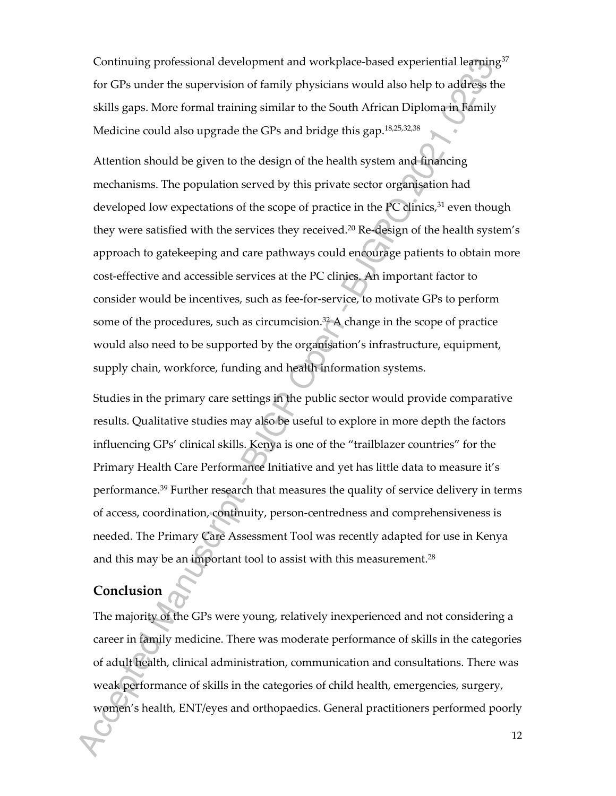Continuing professional development and workplace-based experiential learning<sup>37</sup> for GPs under the supervision of family physicians would also help to address the skills gaps. More formal training similar to the South African Diploma in Family Medicine could also upgrade the GPs and bridge this gap.<sup>18,25,32,38</sup>

Attention should be given to the design of the health system and financing mechanisms. The population served by this private sector organisation had developed low expectations of the scope of practice in the PC clinics, $31$  even though they were satisfied with the services they received.<sup>20</sup> Re-design of the health system's approach to gatekeeping and care pathways could encourage patients to obtain more cost-effective and accessible services at the PC clinics. An important factor to consider would be incentives, such as fee-for-service, to motivate GPs to perform some of the procedures, such as circumcision. $3<sup>2</sup>$  A change in the scope of practice would also need to be supported by the organisation's infrastructure, equipment, supply chain, workforce, funding and health information systems.

Studies in the primary care settings in the public sector would provide comparative results. Qualitative studies may also be useful to explore in more depth the factors influencing GPs' clinical skills. Kenya is one of the "trailblazer countries" for the Primary Health Care Performance Initiative and yet has little data to measure it's performance.<sup>39</sup> Further research that measures the quality of service delivery in terms of access, coordination, continuity, person-centredness and comprehensiveness is needed. The Primary Care Assessment Tool was recently adapted for use in Kenya and this may be an important tool to assist with this measurement.<sup>28</sup>

## **Conclusion**

The majority of the GPs were young, relatively inexperienced and not considering a career in family medicine. There was moderate performance of skills in the categories of adult health, clinical administration, communication and consultations. There was weak performance of skills in the categories of child health, emergencies, surgery, women's health, ENT/eyes and orthopaedics. General practitioners performed poorly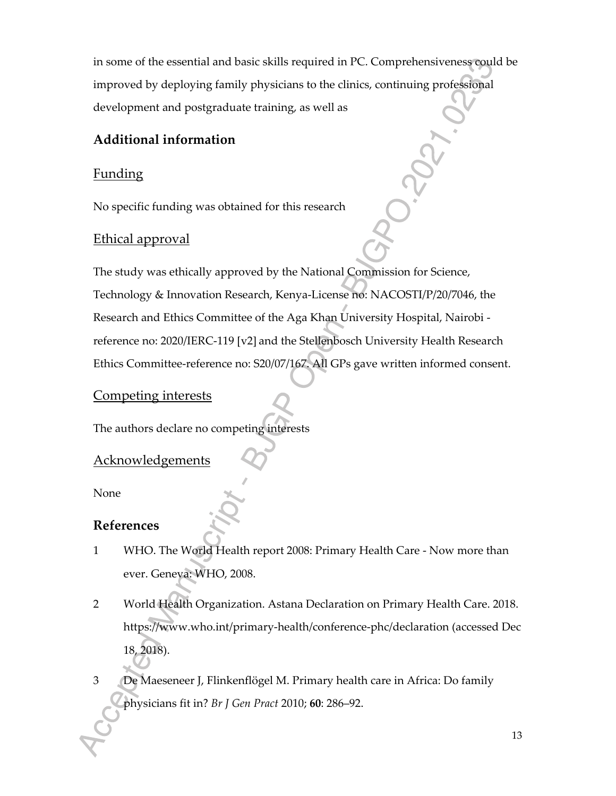in some of the essential and basic skills required in PC. Comprehensiveness could be improved by deploying family physicians to the clinics, continuing professional development and postgraduate training, as well as

## **Additional information**

## Funding

No specific funding was obtained for this research

## Ethical approval

The study was ethically approved by the National Commission for Science, Technology & Innovation Research, Kenya-License no: NACOSTI/P/20/7046, the Research and Ethics Committee of the Aga Khan University Hospital, Nairobi reference no: 2020/IERC-119 [v2] and the Stellenbosch University Health Research Ethics Committee-reference no: S20/07/167. All GPs gave written informed consent.

## Competing interests

The authors declare no competing interests

## Acknowledgements

None

## **References**

- 1 WHO. The World Health report 2008: Primary Health Care Now more than ever. Geneva: WHO, 2008.
- 2 World Health Organization. Astana Declaration on Primary Health Care. 2018. https://www.who.int/primary-health/conference-phc/declaration (accessed Dec 18, 2018).
- 3 De Maeseneer J, Flinkenflögel M. Primary health care in Africa: Do family physicians fit in? *Br J Gen Pract* 2010; **60**: 286–92.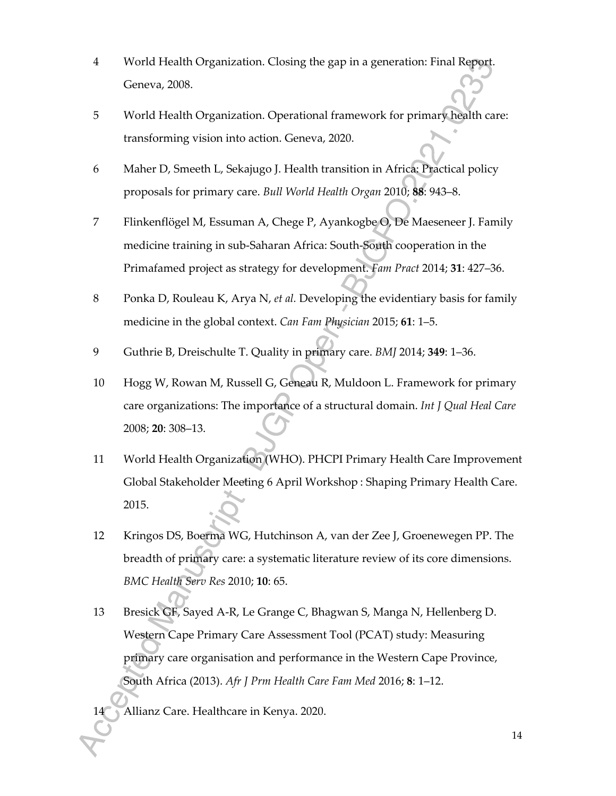- 4 World Health Organization. Closing the gap in a generation: Final Report. Geneva, 2008.
- 5 World Health Organization. Operational framework for primary health care: transforming vision into action. Geneva, 2020.
- 6 Maher D, Smeeth L, Sekajugo J. Health transition in Africa: Practical policy proposals for primary care. *Bull World Health Organ* 2010; **88**: 943–8.
- 7 Flinkenflögel M, Essuman A, Chege P, Ayankogbe O, De Maeseneer J. Family medicine training in sub-Saharan Africa: South-South cooperation in the Primafamed project as strategy for development. *Fam Pract* 2014; **31**: 427–36.
- 8 Ponka D, Rouleau K, Arya N, *et al.* Developing the evidentiary basis for family medicine in the global context. *Can Fam Physician* 2015; **61**: 1–5.
- 9 Guthrie B, Dreischulte T. Quality in primary care. *BMJ* 2014; **349**: 1–36.
- 10 Hogg W, Rowan M, Russell G, Geneau R, Muldoon L. Framework for primary care organizations: The importance of a structural domain. *Int J Qual Heal Care* 2008; **20**: 308–13.
- 11 World Health Organization (WHO). PHCPI Primary Health Care Improvement Global Stakeholder Meeting 6 April Workshop : Shaping Primary Health Care. 2015.
- 12 Kringos DS, Boerma WG, Hutchinson A, van der Zee J, Groenewegen PP. The breadth of primary care: a systematic literature review of its core dimensions. *BMC Health Serv Res* 2010; **10**: 65.
- 13 Bresick GF, Sayed A-R, Le Grange C, Bhagwan S, Manga N, Hellenberg D. Western Cape Primary Care Assessment Tool (PCAT) study: Measuring primary care organisation and performance in the Western Cape Province, South Africa (2013). *Afr J Prm Health Care Fam Med* 2016; **8**: 1–12.

14 Allianz Care. Healthcare in Kenya. 2020.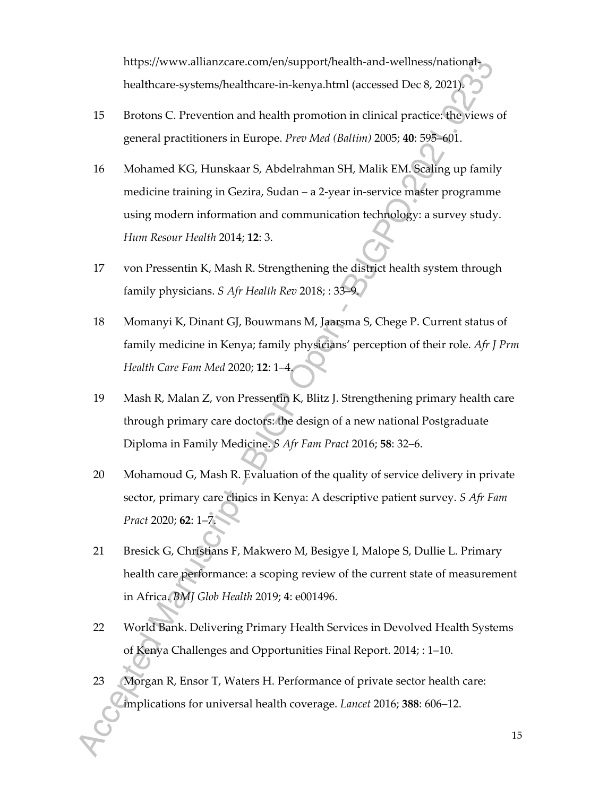https://www.allianzcare.com/en/support/health-and-wellness/nationalhealthcare-systems/healthcare-in-kenya.html (accessed Dec 8, 2021).

- 15 Brotons C. Prevention and health promotion in clinical practice: the views of general practitioners in Europe. *Prev Med (Baltim)* 2005; **40**: 595–601.
- 16 Mohamed KG, Hunskaar S, Abdelrahman SH, Malik EM. Scaling up family medicine training in Gezira, Sudan – a 2-year in-service master programme using modern information and communication technology: a survey study. *Hum Resour Health* 2014; **12**: 3.
- 17 von Pressentin K, Mash R. Strengthening the district health system through family physicians. *S Afr Health Rev* 2018; : 33–9.
- 18 Momanyi K, Dinant GJ, Bouwmans M, Jaarsma S, Chege P. Current status of family medicine in Kenya; family physicians' perception of their role. *Afr J Prm Health Care Fam Med* 2020; **12**: 1–4.
- 19 Mash R, Malan Z, von Pressentin K, Blitz J. Strengthening primary health care through primary care doctors: the design of a new national Postgraduate Diploma in Family Medicine. *S Afr Fam Pract* 2016; **58**: 32–6.
- 20 Mohamoud G, Mash R. Evaluation of the quality of service delivery in private sector, primary care clinics in Kenya: A descriptive patient survey. *S Afr Fam Pract* 2020; **62**: 1–7.
- 21 Bresick G, Christians F, Makwero M, Besigye I, Malope S, Dullie L. Primary health care performance: a scoping review of the current state of measurement in Africa. *BMJ Glob Health* 2019; **4**: e001496.
- 22 World Bank. Delivering Primary Health Services in Devolved Health Systems of Kenya Challenges and Opportunities Final Report. 2014; : 1–10.
- 23 Morgan R, Ensor T, Waters H. Performance of private sector health care: implications for universal health coverage. *Lancet* 2016; **388**: 606–12.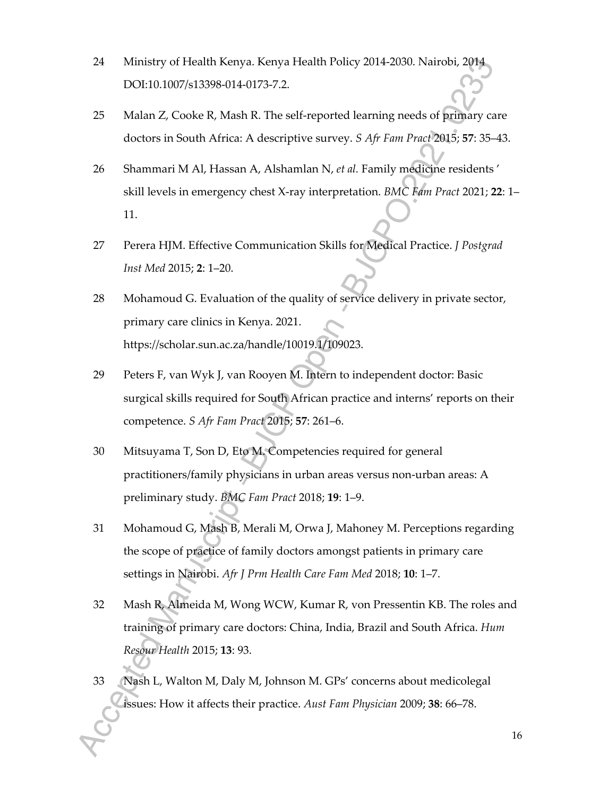- 24 Ministry of Health Kenya. Kenya Health Policy 2014-2030. Nairobi, 2014 DOI:10.1007/s13398-014-0173-7.2.
- 25 Malan Z, Cooke R, Mash R. The self-reported learning needs of primary care doctors in South Africa: A descriptive survey. *S Afr Fam Pract* 2015; **57**: 35–43.
- 26 Shammari M Al, Hassan A, Alshamlan N, *et al.* Family medicine residents ' skill levels in emergency chest X-ray interpretation. *BMC Fam Pract* 2021; **22**: 1– 11.
- 27 Perera HJM. Effective Communication Skills for Medical Practice. *J Postgrad Inst Med* 2015; **2**: 1–20.
- 28 Mohamoud G. Evaluation of the quality of service delivery in private sector, primary care clinics in Kenya. 2021. https://scholar.sun.ac.za/handle/10019.1/109023.
- 29 Peters F, van Wyk J, van Rooyen M. Intern to independent doctor: Basic surgical skills required for South African practice and interns' reports on their competence. *S Afr Fam Pract* 2015; **57**: 261–6.
- 30 Mitsuyama T, Son D, Eto M. Competencies required for general practitioners/family physicians in urban areas versus non-urban areas: A preliminary study. *BMC Fam Pract* 2018; **19**: 1–9.
- 31 Mohamoud G, Mash B, Merali M, Orwa J, Mahoney M. Perceptions regarding the scope of practice of family doctors amongst patients in primary care settings in Nairobi. *Afr J Prm Health Care Fam Med* 2018; **10**: 1–7.
- 32 Mash R, Almeida M, Wong WCW, Kumar R, von Pressentin KB. The roles and training of primary care doctors: China, India, Brazil and South Africa. *Hum Resour Health* 2015; **13**: 93.
- 33 Nash L, Walton M, Daly M, Johnson M. GPs' concerns about medicolegal issues: How it affects their practice. *Aust Fam Physician* 2009; **38**: 66–78.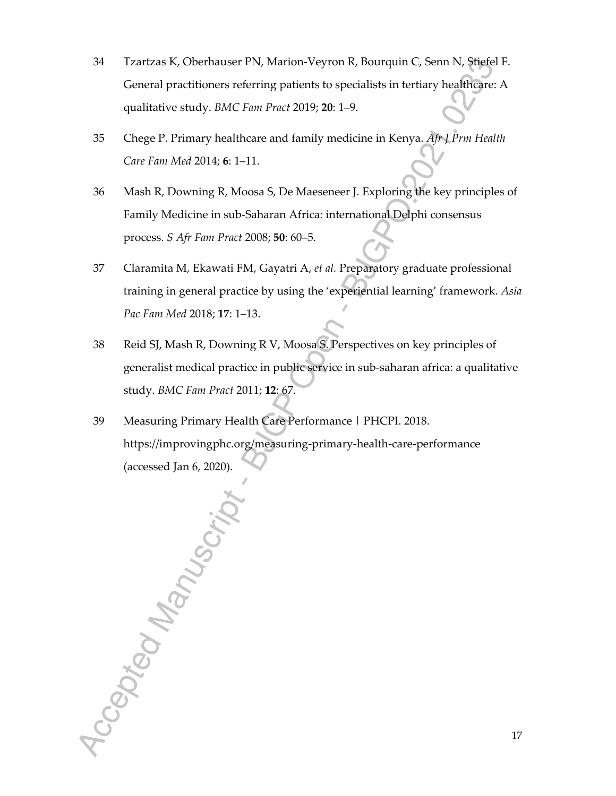- 34 Tzartzas K, Oberhauser PN, Marion-Veyron R, Bourquin C, Senn N, Stiefel F. General practitioners referring patients to specialists in tertiary healthcare: A qualitative study. *BMC Fam Pract* 2019; **20**: 1–9.
- 35 Chege P. Primary healthcare and family medicine in Kenya. *Afr J Prm Health Care Fam Med* 2014; **6**: 1–11.
- 36 Mash R, Downing R, Moosa S, De Maeseneer J. Exploring the key principles of Family Medicine in sub-Saharan Africa: international Delphi consensus process. *S Afr Fam Pract* 2008; **50**: 60–5.
- 37 Claramita M, Ekawati FM, Gayatri A, *et al.* Preparatory graduate professional training in general practice by using the 'experiential learning' framework. *Asia Pac Fam Med* 2018; **17**: 1–13.
- 38 Reid SJ, Mash R, Downing R V, Moosa S. Perspectives on key principles of generalist medical practice in public service in sub-saharan africa: a qualitative study. *BMC Fam Pract* 2011; **12**: 67.
- 39 Measuring Primary Health Care Performance | PHCPI. 2018. https://improvingphc.org/measuring-primary-health-care-performance (accessed Jan 6, 2020).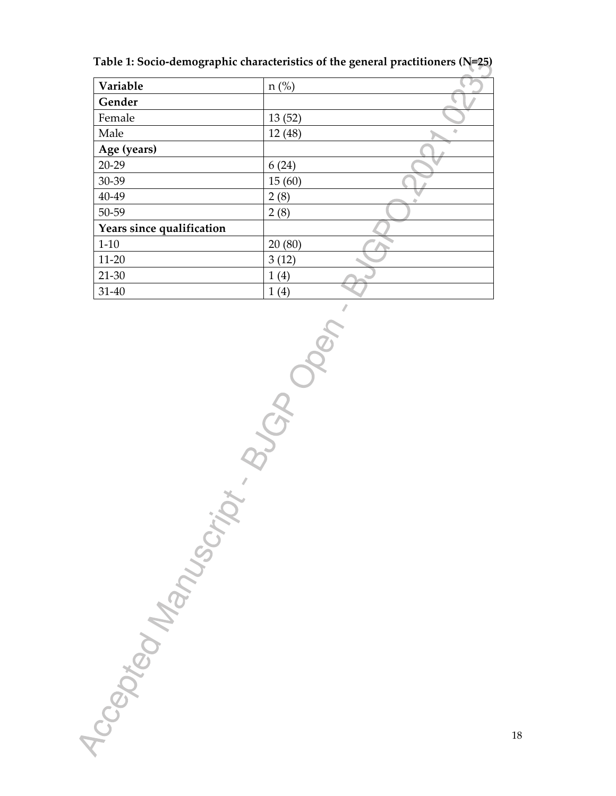**Table 1: Socio-demographic characteristics of the general practitioners (N=25)** 

| Variable                  | $n$ (%) |  |
|---------------------------|---------|--|
| Gender                    |         |  |
| Female                    | 13(52)  |  |
| Male                      | 12 (48) |  |
| Age (years)               |         |  |
| $20 - 29$                 | 6(24)   |  |
| 30-39                     | 15(60)  |  |
| 40-49                     | 2(8)    |  |
| 50-59                     | 2(8)    |  |
| Years since qualification |         |  |
| $1 - 10$                  | 20(80)  |  |
| $11 - 20$                 | 3(12)   |  |
| $21 - 30$                 | 1(4)    |  |
| $31 - 40$                 | 1(4)    |  |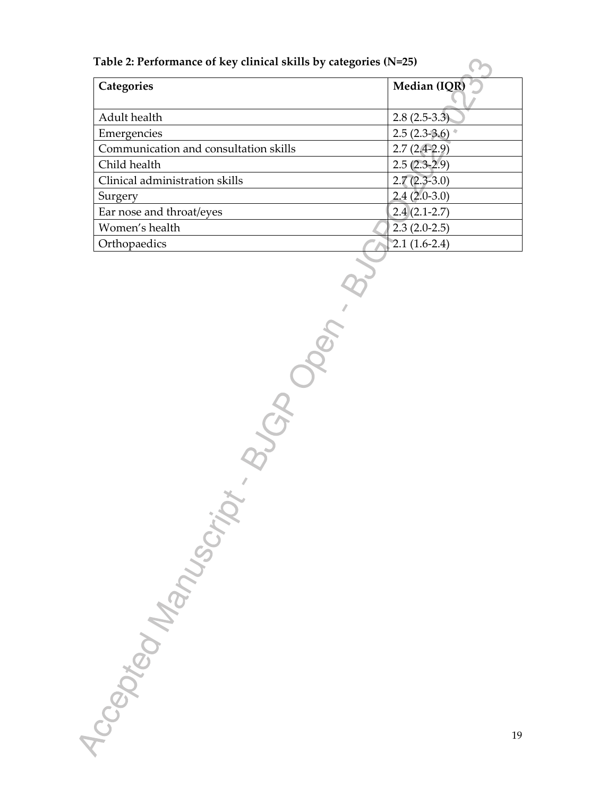#### **Table 2: Performance of key clinical skills by categories (N=25)**

| Categories                            | Median (IQR)   |
|---------------------------------------|----------------|
|                                       |                |
| Adult health                          | $2.8(2.5-3.3)$ |
| Emergencies                           | $2.5(2.3-3.6)$ |
| Communication and consultation skills | $2.7(2.4-2.9)$ |
| Child health                          | $2.5(2.3-2.9)$ |
| Clinical administration skills        | $2.7(2.3-3.0)$ |
| Surgery                               | $2.4(2.0-3.0)$ |
| Ear nose and throat/eyes              | $2.4(2.1-2.7)$ |
| Women's health                        | $2.3(2.0-2.5)$ |
| Orthopaedics                          | $2.1(1.6-2.4)$ |

19

 $\Omega$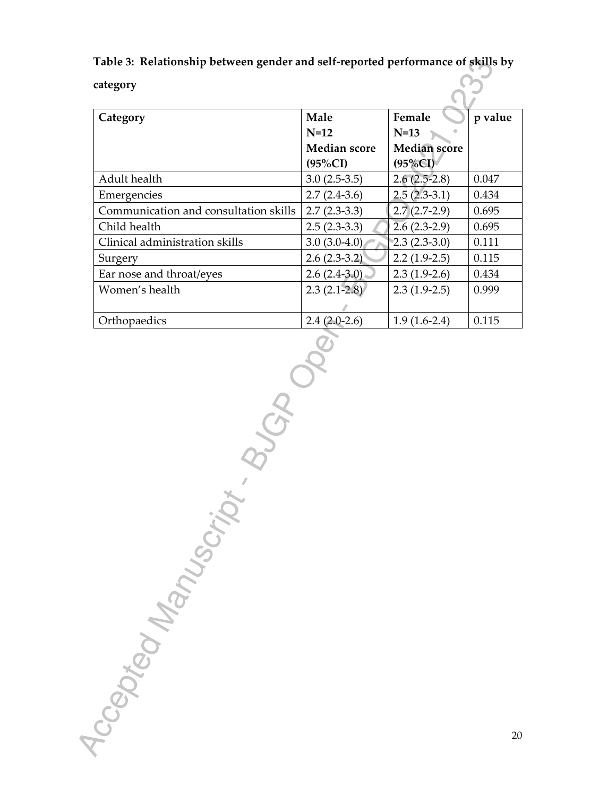**Table 3: Relationship between gender and self-reported performance of skills by** 

<u>်လို</u>

**category**

| Category                              | Male                | Female              | p value |
|---------------------------------------|---------------------|---------------------|---------|
|                                       | $N=12$              | $N=13$              |         |
|                                       | <b>Median score</b> | <b>Median</b> score |         |
|                                       | $(95\%CI)$          | $(95\%CI)$          |         |
| Adult health                          | $3.0(2.5-3.5)$      | $2.6(2.5-2.8)$      | 0.047   |
| Emergencies                           | $2.7(2.4-3.6)$      | $2.5(2.3-3.1)$      | 0.434   |
| Communication and consultation skills | $2.7(2.3-3.3)$      | $2.7(2.7-2.9)$      | 0.695   |
| Child health                          | $2.5(2.3-3.3)$      | $2.6(2.3-2.9)$      | 0.695   |
| Clinical administration skills        | $3.0(3.0-4.0)$      | $2.3(2.3-3.0)$      | 0.111   |
| Surgery                               | $2.6(2.3-3.2)$      | $2.2(1.9-2.5)$      | 0.115   |
| Ear nose and throat/eyes              | $2.6(2.4-3.0)$      | $2.3(1.9-2.6)$      | 0.434   |
| Women's health                        | $2.3(2.1-2.8)$      | $2.3(1.9-2.5)$      | 0.999   |
|                                       |                     |                     |         |
| Orthopaedics                          | $2.4(2.0-2.6)$      | $1.9(1.6-2.4)$      | 0.115   |